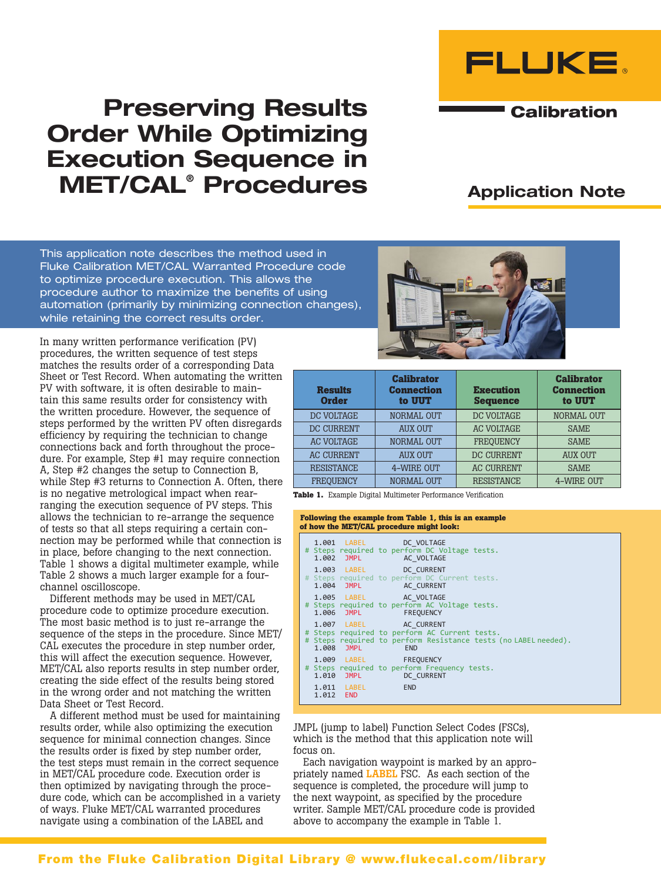

# Preserving Results Order While Optimizing Execution Sequence in MET/CAL® Procedures

## Application Note

**Calibration** 

This application note describes the method used in Fluke Calibration MET/CAL Warranted Procedure code to optimize procedure execution. This allows the procedure author to maximize the benefits of using automation (primarily by minimizing connection changes), while retaining the correct results order.

In many written performance verification (PV) procedures, the written sequence of test steps matches the results order of a corresponding Data Sheet or Test Record. When automating the written PV with software, it is often desirable to maintain this same results order for consistency with the written procedure. However, the sequence of steps performed by the written PV often disregards efficiency by requiring the technician to change connections back and forth throughout the procedure. For example, Step #1 may require connection A, Step #2 changes the setup to Connection B, while Step #3 returns to Connection A. Often, there is no negative metrological impact when rearranging the execution sequence of PV steps. This allows the technician to re-arrange the sequence of tests so that all steps requiring a certain connection may be performed while that connection is in place, before changing to the next connection. Table 1 shows a digital multimeter example, while Table 2 shows a much larger example for a fourchannel oscilloscope.

Different methods may be used in MET/CAL procedure code to optimize procedure execution. The most basic method is to just re-arrange the sequence of the steps in the procedure. Since MET/ CAL executes the procedure in step number order, this will affect the execution sequence. However, MET/CAL also reports results in step number order, creating the side effect of the results being stored in the wrong order and not matching the written Data Sheet or Test Record.

A different method must be used for maintaining results order, while also optimizing the execution sequence for minimal connection changes. Since the results order is fixed by step number order, the test steps must remain in the correct sequence in MET/CAL procedure code. Execution order is then optimized by navigating through the procedure code, which can be accomplished in a variety of ways. Fluke MET/CAL warranted procedures navigate using a combination of the LABEL and



| <b>Results</b><br><b>Order</b> | <b>Calibrator</b><br><b>Connection</b><br>to UUT | <b>Execution</b><br><b>Sequence</b> | <b>Calibrator</b><br><b>Connection</b><br>to UUT |
|--------------------------------|--------------------------------------------------|-------------------------------------|--------------------------------------------------|
| DC VOLTAGE                     | <b>NORMAL OUT</b>                                | DC VOLTAGE                          | <b>NORMAL OUT</b>                                |
| DC CURRENT                     | <b>AUX OUT</b>                                   | <b>AC VOLTAGE</b>                   | <b>SAME</b>                                      |
| <b>AC VOLTAGE</b>              | <b>NORMAL OUT</b>                                | <b>FREQUENCY</b>                    | <b>SAME</b>                                      |
| <b>AC CURRENT</b>              | <b>AUX OUT</b>                                   | DC CURRENT                          | <b>AUX OUT</b>                                   |
| <b>RESISTANCE</b>              | 4-WIRE OUT                                       | <b>AC CURRENT</b>                   | <b>SAME</b>                                      |
| <b>FREOUENCY</b>               | <b>NORMAL OUT</b>                                | <b>RESISTANCE</b>                   | 4-WIRE OUT                                       |

**Table 1.** Example Digital Multimeter Performance Verification

#### **Following the example from Table 1, this is an example of how the MET/CAL procedure might look:**

|           | 1.001 LABEL DC VOLTAGE<br>1.002 JMPL AC VOLTAGE | # Steps required to perform DC Voltage tests.               |                                                                 |
|-----------|-------------------------------------------------|-------------------------------------------------------------|-----------------------------------------------------------------|
|           | 1.003 LABEL DC CURRENT<br>1.004 JMPL AC CURRENT | # Steps required to perform DC Current tests.               |                                                                 |
|           | 1.005 LABEL AC VOLTAGE<br>1.006 JMPL FREQUENCY  | # Steps required to perform AC Voltage tests.               |                                                                 |
|           | 1.007 LABEL AC CURRENT<br>1.008 JMPL            | # Steps required to perform AC Current tests.<br><b>END</b> | # Steps required to perform Resistance tests (no LABEL needed). |
|           | 1.009 LABEL FREQUENCY<br>1.010 JMPL DC CURRENT  | # Steps required to perform Frequency tests.                |                                                                 |
| 1.012 END | 1.011 LABEL END                                 |                                                             |                                                                 |

JMPL (jump to label) Function Select Codes (FSCs), which is the method that this application note will focus on.

Each navigation waypoint is marked by an appropriately named LABEL FSC. As each section of the sequence is completed, the procedure will jump to the next waypoint, as specified by the procedure writer. Sample MET/CAL procedure code is provided above to accompany the example in Table 1.

### From the Fluke Calibration Digital Library @ www.flukecal.com/library